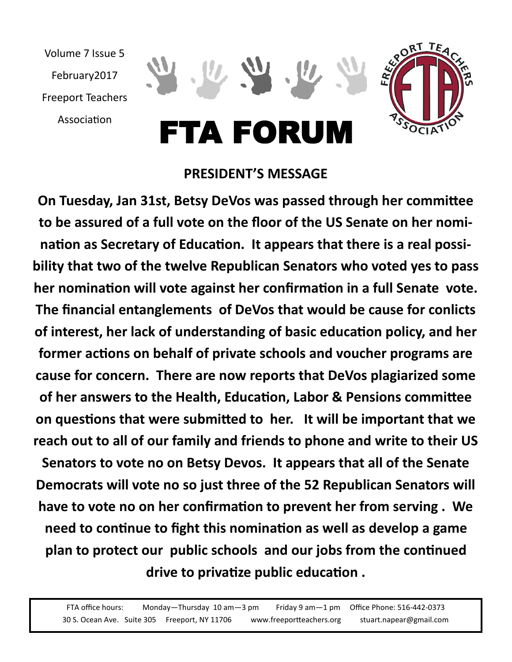

## **PRESIDENT'S MESSAGE**

**On Tuesday, Jan 31st, Betsy DeVos was passed through her committee to be assured of a full vote on the floor of the US Senate on her nomination as Secretary of Education. It appears that there is a real possibility that two of the twelve Republican Senators who voted yes to pass her nomination will vote against her confirmation in a full Senate vote. The financial entanglements of DeVos that would be cause for conlicts of interest, her lack of understanding of basic education policy, and her former actions on behalf of private schools and voucher programs are cause for concern. There are now reports that DeVos plagiarized some of her answers to the Health, Education, Labor & Pensions committee on questions that were submitted to her. It will be important that we reach out to all of our family and friends to phone and write to their US Senators to vote no on Betsy Devos. It appears that all of the Senate Democrats will vote no so just three of the 52 Republican Senators will have to vote no on her confirmation to prevent her from serving . We need to continue to fight this nomination as well as develop a game plan to protect our public schools and our jobs from the continued drive to privatize public education .**